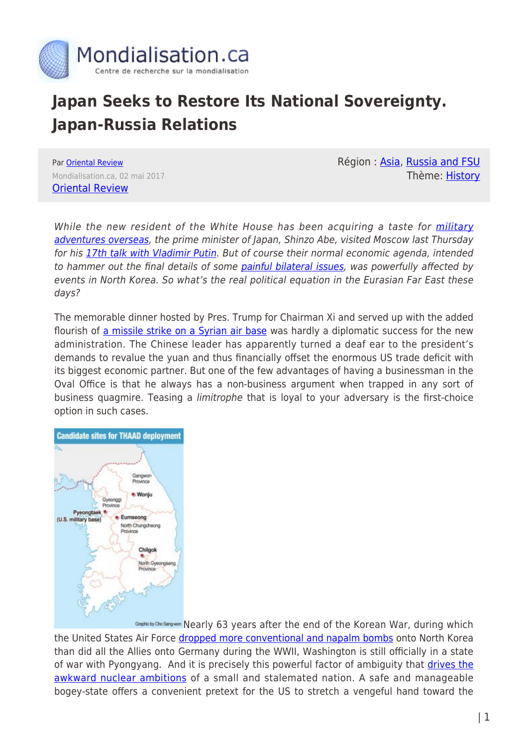

## **Japan Seeks to Restore Its National Sovereignty. Japan-Russia Relations**

Par [Oriental Review](https://www.mondialisation.ca/author/oriental-review) Mondialisation.ca, 02 mai 2017 [Oriental Review](http://orientalreview.org/2017/05/01/germany-of-asia-looking-to-restore-its-sovereignty/)

Région: [Asia](https://www.mondialisation.ca/region/asia-as), [Russia and FSU](https://www.mondialisation.ca/region/russia-and-fsu-as) Thème: [History](https://www.mondialisation.ca/theme/as-history)

While the new resident of the White House has been acquiring a taste for *[military](http://www.express.co.uk/news/world/797120/Donald-Trump-USS-Carl-Vinson-striking-distance-North-Korea-nuclear-blast-Kim-Jong-un)* [adventures overseas](http://www.express.co.uk/news/world/797120/Donald-Trump-USS-Carl-Vinson-striking-distance-North-Korea-nuclear-blast-Kim-Jong-un), the prime minister of Japan, Shinzo Abe, visited Moscow last Thursday for his [17th talk with Vladimir Putin](http://journal-neo.org/2017/04/28/what-putin-and-abe-were-discussing-in-moscow/). But of course their normal economic agenda, intended to hammer out the final details of some [painful bilateral issues,](https://www.rt.com/news/369482-kuril-islands-peace-treaty/) was powerfully affected by events in North Korea. So what's the real political equation in the Eurasian Far East these days?

The memorable dinner hosted by Pres. Trump for Chairman Xi and served up with the added flourish of [a missile strike on a Syrian air base](https://www.theguardian.com/us-news/2017/apr/12/trump-xi-jinping-chocolate-cake-syria-strikes) was hardly a diplomatic success for the new administration. The Chinese leader has apparently turned a deaf ear to the president's demands to revalue the yuan and thus financially offset the enormous US trade deficit with its biggest economic partner. But one of the few advantages of having a businessman in the Oval Office is that he always has a non-business argument when trapped in any sort of business quagmire. Teasing a limitrophe that is loyal to your adversary is the first-choice option in such cases.



Gespricty Cho Sangwan [N](http://orientalreview.org/wp-content/uploads/2017/05/thaadmap.jpg)early 63 years after the end of the Korean War, during which the United States Air Force [dropped more conventional and napalm bombs](http://nautilus.org/napsnet/napsnet-policy-forum/0503a_cumings-html/) onto North Korea than did all the Allies onto Germany during the WWII, Washington is still officially in a state of war with Pyongyang. And it is precisely this powerful factor of ambiguity that [drives the](http://orientalreview.org/2010/05/12/why-does-north-korea-need-nuclear-weapons/) [awkward nuclear ambitions](http://orientalreview.org/2010/05/12/why-does-north-korea-need-nuclear-weapons/) of a small and stalemated nation. A safe and manageable bogey-state offers a convenient pretext for the US to stretch a vengeful hand toward the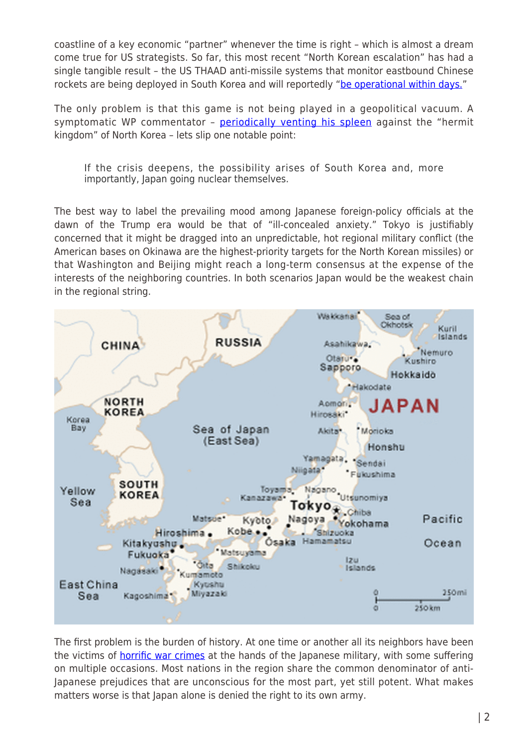coastline of a key economic "partner" whenever the time is right – which is almost a dream come true for US strategists. So far, this most recent "North Korean escalation" has had a single tangible result – the US THAAD anti-missile systems that monitor eastbound Chinese rockets are being deployed in South Korea and will reportedly "[be operational within days."](http://www.npr.org/sections/thetwo-way/2017/04/26/525724072/thaad-missile-system-will-be-online-within-days-in-south-korea-admiral-says)

The only problem is that this game is not being played in a geopolitical vacuum. A symptomatic WP commentator – [periodically venting his spleen](https://www.washingtonpost.com/opinions/with-north-korea-we-do-have-cards-to-play/2017/04/20/8623985a-25fa-11e7-bb9d-8cd6118e1409_story.html) against the "hermit kingdom" of North Korea – lets slip one notable point:

If the crisis deepens, the possibility arises of South Korea and, more importantly, Japan going nuclear themselves.

The best way to label the prevailing mood among Japanese foreign-policy officials at the dawn of the Trump era would be that of "ill-concealed anxiety." Tokyo is justifiably concerned that it might be dragged into an unpredictable, hot regional military conflict (the American bases on Okinawa are the highest-priority targets for the North Korean missiles) or that Washington and Beijing might reach a long-term consensus at the expense of the interests of the neighboring countries. In both scenarios Japan would be the weakest chain in the regional string.



The first problem is the burden of history. At one time or another all its neighbors have been the victims of **horrific war crimes** at the hands of the Japanese military, with some suffering on multiple occasions. Most nations in the region share the common denominator of anti-Japanese prejudices that are unconscious for the most part, yet still potent. What makes matters worse is that Japan alone is denied the right to its own army.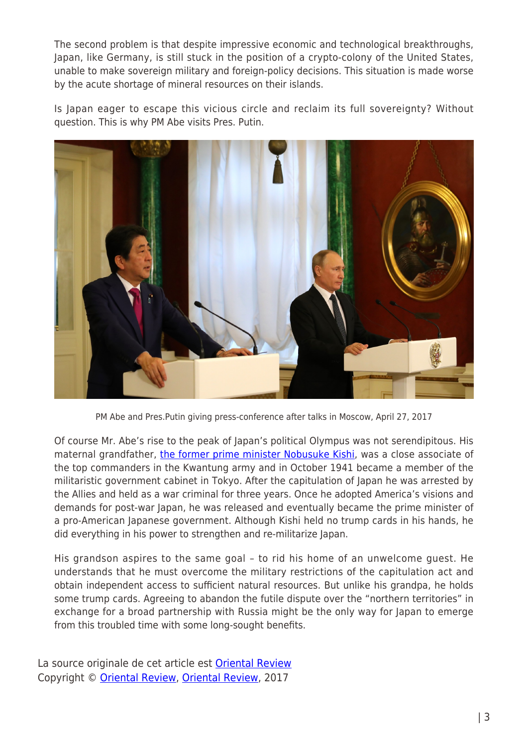The second problem is that despite impressive economic and technological breakthroughs, Japan, like Germany, is still stuck in the position of a crypto-colony of the United States, unable to make sovereign military and foreign-policy decisions. This situation is made worse by the acute shortage of mineral resources on their islands.

Is Japan eager to escape this vicious circle and reclaim its full sovereignty? Without question. This is why PM Abe visits Pres. Putin.



PM Abe and Pres.Putin giving press-conference after talks in Moscow, April 27, 2017

Of course Mr. Abe's rise to the peak of Japan's political Olympus was not serendipitous. His maternal grandfather, [the former prime minister Nobusuke Kishi,](http://biography.yourdictionary.com/nobusuke-kishi) was a close associate of the top commanders in the Kwantung army and in October 1941 became a member of the militaristic government cabinet in Tokyo. After the capitulation of Japan he was arrested by the Allies and held as a war criminal for three years. Once he adopted America's visions and demands for post-war Japan, he was released and eventually became the prime minister of a pro-American Japanese government. Although Kishi held no trump cards in his hands, he did everything in his power to strengthen and re-militarize Japan.

His grandson aspires to the same goal – to rid his home of an unwelcome guest. He understands that he must overcome the military restrictions of the capitulation act and obtain independent access to sufficient natural resources. But unlike his grandpa, he holds some trump cards. Agreeing to abandon the futile dispute over the "northern territories" in exchange for a broad partnership with Russia might be the only way for Japan to emerge from this troubled time with some long-sought benefits.

La source originale de cet article est [Oriental Review](http://orientalreview.org/2017/05/01/germany-of-asia-looking-to-restore-its-sovereignty/) Copyright © [Oriental Review,](https://www.mondialisation.ca/author/oriental-review) [Oriental Review](http://orientalreview.org/2017/05/01/germany-of-asia-looking-to-restore-its-sovereignty/), 2017